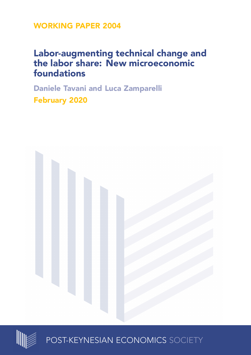**WORKING PAPER 2004**

## **Labor-augmenting technical change and the labor share: New microeconomic foundations**

**Daniele Tavani and Luca Zamparelli February 2020**





POST-KEYNESIAN ECONOMICS SOCIETY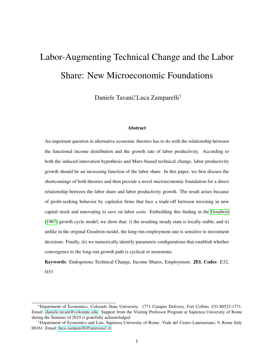# <span id="page-1-0"></span>Labor-Augmenting Technical Change and the Labor Share: New Microeconomic Foundations

Daniele Tavani\*, Luca Zamparelli<sup>†</sup>

#### Abstract

An important question in alternative economic theories has to do with the relationship between the functional income distribution and the growth rate of labor productivity. According to both the induced innovation hypothesis and Marx-biased technical change, labor productivity growth should be an increasing function of the labor share. In this paper, we first discuss the shortcomings of both theories and then provide a novel microeconomic foundation for a direct relationship between the labor share and labor productivity growth. The result arises because of profit-seeking behavior by capitalist firms that face a trade-off between investing in new capital stock and innovating to save on labor costs. Embedding this finding in the [Goodwin](#page-17-0) [\(1967\)](#page-17-0) growth cycle model, we show that: i) the resulting steady state is locally stable, and ii) unlike in the original Goodwin model, the long-run employment rate is sensitive to investment decisions. Finally, iii) we numerically identify parametric configurations that establish whether convergence to the long-run growth path is cyclical or monotonic.

Keywords: Endogenous Technical Change, Income Shares, Employment. JEL Codes: E32, O33

<sup>∗</sup>Department of Economics, Colorado State University. 1771 Campus Delivery, Fort Collins, CO 80523-1771. Email: [daniele.tavani@colostate.edu.](mailto:daniele.tavani%5C%40colostate.edu) Support from the Visiting Professor Program at Sapienza University of Rome during the Summer of 2019 is gratefully acknowledged.

<sup>†</sup>Department of Economics and Law, Sapienza University of Rome. Viale del Castro Laurenziano, 9, Rome Italy 00161. Email: [luca.zamparelli@uniroma1.it](mailto:luca.zamparelli%5C%40uniroma1.it)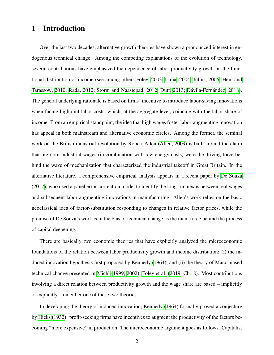## 1 Introduction

Over the last two decades, alternative growth theories have shown a pronounced interest in endogenous technical change. Among the competing explanations of the evolution of technology, several contributions have emphasized the dependence of labor productivity growth on the functional distribution of income (see among others [Foley, 2003;](#page-17-1) [Lima, 2004;](#page-18-0) [Julius, 2006;](#page-17-2) [Hein and](#page-17-3) [Tarassow, 2010;](#page-17-3) [Rada, 2012;](#page-18-1) [Storm and Naastepad, 2012;](#page-19-0) [Dutt, 2013;](#page-17-4) Dávila-Fernández, [2018\)](#page-16-0). The general underlying rationale is based on firms' incentive to introduce labor-saving innovations when facing high unit labor costs, which, at the aggregate level, coincide with the labor share of income. From an empirical standpoint, the idea that high wages foster labor-augmenting innovation has appeal in both mainstream and alternative economic circles. Among the former, the seminal work on the British industrial revolution by Robert Allen [\(Allen, 2009\)](#page-16-1) is built around the claim that high pre-industrial wages (in combination with low energy costs) were the driving force behind the wave of mechanization that characterized the industrial takeoff in Great Britain. In the alternative literature, a comprehensive empirical analysis appears in a recent paper by [De Souza](#page-16-2) [\(2017\)](#page-16-2), who used a panel error-correction model to identify the long-run nexus between real wages and subsequent labor-augmenting innovations in manufacturing. Allen's work relies on the basic neoclassical idea of factor-substitution responding to changes in relative factor prices, while the premise of De Souza's work is in the bias of technical change as the main force behind the process of capital deepening.

There are basically two economic theories that have explicitly analyzed the microeconomic foundations of the relation between labor productivity growth and income distribution: (i) the induced innovation hypothesis first proposed by [Kennedy](#page-18-2) [\(1964\)](#page-18-2); and (ii) the theory of Marx-biased technical change presented in [Michl](#page-18-3) [\(1999,](#page-18-3) [2002\)](#page-18-4); [Foley et al.](#page-17-5) [\(2019,](#page-17-5) Ch. 8). Most contributions involving a direct relation between productivity growth and the wage share are based – implicitly or explicitly – on either one of these two theories.

In developing the theory of induced innovation, [Kennedy](#page-18-2) [\(1964\)](#page-18-2) formally proved a conjecture by [Hicks](#page-17-6) [\(1932\)](#page-17-6): profit-seeking firms have incentives to augment the productivity of the factors becoming "more expensive" in production. The microeconomic argument goes as follows. Capitalist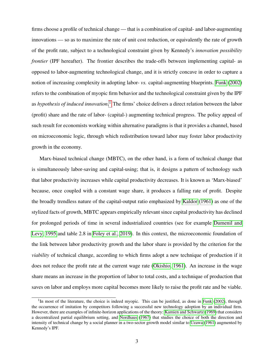firms choose a profile of technical change — that is a combination of capital- and labor-augmenting innovations — so as to maximize the rate of unit cost reduction, or equivalently the rate of growth of the profit rate, subject to a technological constraint given by Kennedy's *innovation possibility frontier* (IPF hereafter). The frontier describes the trade-offs between implementing capital- as opposed to labor-augmenting technological change, and it is strictly concave in order to capture a notion of increasing complexity in adopting labor- *vs.* capital-augmenting blueprints. [Funk](#page-17-7) [\(2002\)](#page-17-7) refers to the combination of myopic firm behavior and the technological constraint given by the IPF as *hypothesis of induced innovation*. [1](#page-3-0) The firms' choice delivers a direct relation between the labor (profit) share and the rate of labor- (capital-) augmenting technical progress. The policy appeal of such result for economists working within alternative paradigms is that it provides a channel, based on microeconomic logic, through which redistribution toward labor may foster labor productivity growth in the economy.

Marx-biased technical change (MBTC), on the other hand, is a form of technical change that is simultaneously labor-saving and capital-using; that is, it designs a pattern of technology such that labor productivity increases while capital productivity decreases. It is known as 'Marx-biased' because, once coupled with a constant wage share, it produces a falling rate of profit. Despite the broadly trendless nature of the capital-output ratio emphasized by [Kaldor](#page-18-5) [\(1961\)](#page-18-5) as one of the stylized facts of growth, MBTC appears empirically relevant since capital productivity has declined for prolonged periods of time in several industrialized countries (see for example [Dumenil and](#page-16-3) [Levy, 1995](#page-16-3) and table 2.8 in [Foley et al., 2019\)](#page-17-5). In this context, the microeconomic foundation of the link between labor productivity growth and the labor share is provided by the criterion for the *viability* of technical change, according to which firms adopt a new technique of production if it does not reduce the profit rate at the current wage rate [\(Okishio, 1961\)](#page-18-6). An increase in the wage share means an increase in the proportion of labor to total costs, and a technique of production that saves on labor and employs more capital becomes more likely to raise the profit rate and be viable.

<span id="page-3-0"></span><sup>&</sup>lt;sup>1</sup>In most of the literature, the choice is indeed myopic. This can be justified, as done in [Funk](#page-17-7) [\(2002\)](#page-17-7), through the occurrence of imitation by competitors following a successful new technology adoption by an individual firm. However, there are examples of infinite-horizon applications of the theory: [Kamien and Schwartz](#page-18-7) [\(1969\)](#page-18-7) that considers a decentralized partial equilibrium setting, and [Nordhaus](#page-18-8) [\(1967\)](#page-18-8) that studies the choice of both the direction and intensity of technical change by a social planner in a two-sector growth model similar to [Uzawa](#page-19-1) [\(1961\)](#page-19-1) augmented by Kennedy's IPF.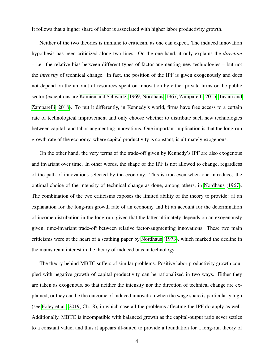It follows that a higher share of labor is associated with higher labor productivity growth.

Neither of the two theories is immune to criticism, as one can expect. The induced innovation hypothesis has been criticized along two lines. On the one hand, it only explains the *direction* – i.e. the relative bias between different types of factor-augmenting new technologies – but not the *intensity* of technical change. In fact, the position of the IPF is given exogenously and does not depend on the amount of resources spent on innovation by either private firms or the public sector (exceptions are [Kamien and Schwartz, 1969;](#page-18-7) [Nordhaus, 1967;](#page-18-8) [Zamparelli, 2015;](#page-19-2) [Tavani and](#page-19-3) [Zamparelli, 2018\)](#page-19-3). To put it differently, in Kennedy's world, firms have free access to a certain rate of technological improvement and only choose whether to distribute such new technologies between capital- and labor-augmenting innovations. One important implication is that the long-run growth rate of the economy, where capital productivity is constant, is ultimately exogenous.

On the other hand, the very terms of the trade-off given by Kennedy's IPF are also exogenous and invariant over time. In other words, the shape of the IPF is not allowed to change, regardless of the path of innovations selected by the economy. This is true even when one introduces the optimal choice of the intensity of technical change as done, among others, in [Nordhaus](#page-18-8) [\(1967\)](#page-18-8). The combination of the two criticisms exposes the limited ability of the theory to provide: a) an explanation for the long-run growth rate of an economy and b) an account for the determination of income distribution in the long run, given that the latter ultimately depends on an exogenously given, time-invariant trade-off between relative factor-augmenting innovations. These two main criticisms were at the heart of a scathing paper by [Nordhaus](#page-18-9) [\(1973\)](#page-18-9), which marked the decline in the mainstream interest in the theory of induced bias in technology.

The theory behind MBTC suffers of similar problems. Positive labor productivity growth coupled with negative growth of capital productivity can be rationalized in two ways. Either they are taken as exogenous, so that neither the intensity nor the direction of technical change are explained; or they can be the outcome of induced innovation when the wage share is particularly high (see [Foley et al., 2019,](#page-17-5) Ch. 8), in which case all the problems affecting the IPF do apply as well. Additionally, MBTC is incompatible with balanced growth as the capital-output ratio never settles to a constant value, and thus it appears ill-suited to provide a foundation for a long-run theory of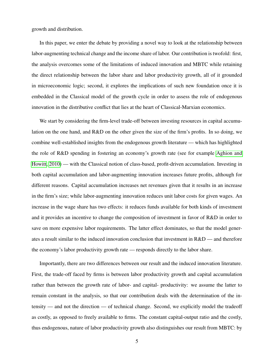growth and distribution.

In this paper, we enter the debate by providing a novel way to look at the relationship between labor-augmenting technical change and the income share of labor. Our contribution is twofold: first, the analysis overcomes some of the limitations of induced innovation and MBTC while retaining the direct relationship between the labor share and labor productivity growth, all of it grounded in microeconomic logic; second, it explores the implications of such new foundation once it is embedded in the Classical model of the growth cycle in order to assess the role of endogenous innovation in the distributive conflict that lies at the heart of Classical-Marxian economics.

We start by considering the firm-level trade-off between investing resources in capital accumulation on the one hand, and R&D on the other given the size of the firm's profits. In so doing, we combine well-established insights from the endogenous growth literature — which has highlighted the role of R&D spending in fostering an economy's growth rate (see for example [Aghion and](#page-16-4) [Howitt, 2010\)](#page-16-4) — with the Classical notion of class-based, profit-driven accumulation. Investing in both capital accumulation and labor-augmenting innovation increases future profits, although for different reasons. Capital accumulation increases net revenues given that it results in an increase in the firm's size; while labor-augmenting innovation reduces unit labor costs for given wages. An increase in the wage share has two effects: it reduces funds available for both kinds of investment and it provides an incentive to change the composition of investment in favor of R&D in order to save on more expensive labor requirements. The latter effect dominates, so that the model generates a result similar to the induced innovation conclusion that investment in R&D — and therefore the economy's labor productivity growth rate — responds directly to the labor share.

Importantly, there are two differences between our result and the induced innovation literature. First, the trade-off faced by firms is between labor productivity growth and capital accumulation rather than between the growth rate of labor- and capital- productivity: we assume the latter to remain constant in the analysis, so that our contribution deals with the determination of the intensity — and not the direction — of technical change. Second, we explicitly model the tradeoff as costly, as opposed to freely available to firms. The constant capital-output ratio and the costly, thus endogenous, nature of labor productivity growth also distinguishes our result from MBTC: by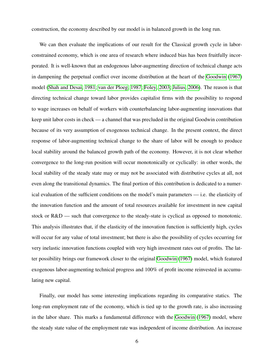construction, the economy described by our model is in balanced growth in the long run.

We can then evaluate the implications of our result for the Classical growth cycle in laborconstrained economy, which is one area of research where induced bias has been fruitfully incorporated. It is well-known that an endogenous labor-augmenting direction of technical change acts in dampening the perpetual conflict over income distribution at the heart of the [Goodwin](#page-17-0) [\(1967\)](#page-17-0) model [\(Shah and Desai, 1981;](#page-18-10) [van der Ploeg, 1987;](#page-19-4) [Foley, 2003;](#page-17-1) [Julius, 2006\)](#page-17-2). The reason is that directing technical change toward labor provides capitalist firms with the possibility to respond to wage increases on behalf of workers with counterbalancing labor-augmenting innovations that keep unit labor costs in check — a channel that was precluded in the original Goodwin contribution because of its very assumption of exogenous technical change. In the present context, the direct response of labor-augmenting technical change to the share of labor will be enough to produce local stability around the balanced growth path of the economy. However, it is not clear whether convergence to the long-run position will occur monotonically or cyclically: in other words, the local stability of the steady state may or may not be associated with distributive cycles at all, not even along the transitional dynamics. The final portion of this contribution is dedicated to a numerical evaluation of the sufficient conditions on the model's main parameters — i.e. the elasticity of the innovation function and the amount of total resources available for investment in new capital stock or R&D — such that convergence to the steady-state is cyclical as opposed to monotonic. This analysis illustrates that, if the elasticity of the innovation function is sufficiently high, cycles will occur for any value of total investment; but there is also the possibility of cycles occurring for very inelastic innovation functions coupled with very high investment rates out of profits. The latter possibility brings our framework closer to the original [Goodwin](#page-17-0) [\(1967\)](#page-17-0) model, which featured exogenous labor-augmenting technical progress and 100% of profit income reinvested in accumulating new capital.

Finally, our model has some interesting implications regarding its comparative statics. The long-run employment rate of the economy, which is tied up to the growth rate, is also increasing in the labor share. This marks a fundamental difference with the [Goodwin](#page-17-0) [\(1967\)](#page-17-0) model, where the steady state value of the employment rate was independent of income distribution. An increase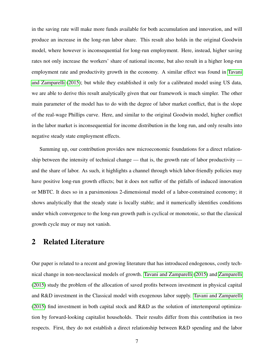in the saving rate will make more funds available for both accumulation and innovation, and will produce an increase in the long-run labor share. This result also holds in the original Goodwin model, where however is inconsequential for long-run employment. Here, instead, higher saving rates not only increase the workers' share of national income, but also result in a higher long-run employment rate and productivity growth in the economy. A similar effect was found in [Tavani](#page-19-5) [and Zamparelli](#page-19-5) [\(2015\)](#page-19-5); but while they established it only for a calibrated model using US data, we are able to derive this result analytically given that our framework is much simpler. The other main parameter of the model has to do with the degree of labor market conflict, that is the slope of the real-wage Phillips curve. Here, and similar to the original Goodwin model, higher conflict in the labor market is inconsequential for income distribution in the long run, and only results into negative steady state employment effects.

Summing up, our contribution provides new microeconomic foundations for a direct relationship between the intensity of technical change — that is, the growth rate of labor productivity and the share of labor. As such, it highlights a channel through which labor-friendly policies may have positive long-run growth effects; but it does not suffer of the pitfalls of induced innovation or MBTC. It does so in a parsimonious 2-dimensional model of a labor-constrained economy; it shows analytically that the steady state is locally stable; and it numerically identifies conditions under which convergence to the long-run growth path is cyclical or monotonic, so that the classical growth cycle may or may not vanish.

## <span id="page-7-0"></span>2 Related Literature

Our paper is related to a recent and growing literature that has introduced endogenous, costly technical change in non-neoclassical models of growth. [Tavani and Zamparelli](#page-19-5) [\(2015\)](#page-19-5) and [Zamparelli](#page-19-2) [\(2015\)](#page-19-2) study the problem of the allocation of saved profits between investment in physical capital and R&D investment in the Classical model with exogenous labor supply. [Tavani and Zamparelli](#page-19-5) [\(2015\)](#page-19-5) find investment in both capital stock and R&D as the solution of intertemporal optimization by forward-looking capitalist households. Their results differ from this contribution in two respects. First, they do not establish a direct relationship between R&D spending and the labor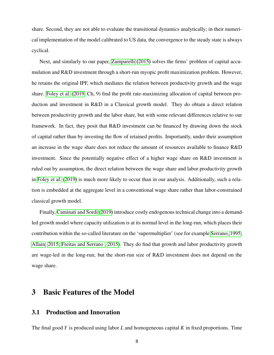share. Second, they are not able to evaluate the transitional dynamics analytically; in their numerical implementation of the model calibrated to US data, the convergence to the steady state is always cyclical.

Next, and similarly to our paper, [Zamparelli](#page-19-2) [\(2015\)](#page-19-2) solves the firms' problem of capital accumulation and R&D investment through a short-run myopic profit maximization problem. However, he retains the original IPF, which mediates the relation between productivity growth and the wage share. [Foley et al.](#page-17-5) [\(2019,](#page-17-5) Ch, 9) find the profit rate-maximizing allocation of capital between production and investment in R&D in a Classical growth model. They do obtain a direct relation between productivity growth and the labor share, but with some relevant differences relative to our framework. In fact, they posit that R&D investment can be financed by drawing down the stock of capital rather than by investing the flow of retained profits. Importantly, under their assumption an increase in the wage share does not reduce the amount of resources available to finance R&D investment. Since the potentially negative effect of a higher wage share on R&D investment is ruled out by assumption, the direct relation between the wage share and labor productivity growth in [Foley et al.](#page-17-5) [\(2019\)](#page-17-5) is much more likely to occur than in our analysis. Additionally, such a relation is embedded at the aggregate level in a conventional wage share rather than labor-constrained classical growth model.

Finally, [Caminati and Sordi](#page-16-5) [\(2019\)](#page-16-5) introduce costly endogenous technical change into a demandled growth model where capacity utilization is at its normal level in the long-run, which places their contribution within the so-called literature on the 'supermultiplier' (see for example [Serrano, 1995;](#page-18-11) [Allain, 2015;](#page-16-6) [Freitas and Serrano , 2015\)](#page-17-8). They do find that growth and labor productivity growth are wage-led in the long-run; but the short-run size of R&D investment does not depend on the wage share.

## 3 Basic Features of the Model

#### 3.1 Production and Innovation

The final good *Y* is produced using labor *L* and homogeneous capital *K* in fixed proportions. Time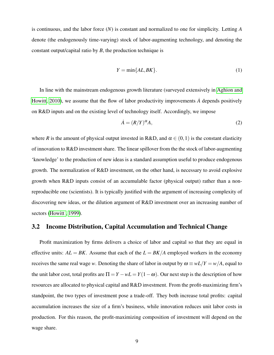is continuous, and the labor force (*N*) is constant and normalized to one for simplicity. Letting *A* denote (the endogenously time-varying) stock of labor-augmenting technology, and denoting the constant output/capital ratio by *B*, the production technique is

<span id="page-9-0"></span>
$$
Y = \min\{AL, BK\}.\tag{1}
$$

In line with the mainstream endogenous growth literature (surveyed extensively in [Aghion and](#page-16-4) [Howitt, 2010\)](#page-16-4), we assume that the flow of labor productivity improvements  $\dot{A}$  depends positively on R&D inputs and on the existing level of technology itself. Accordingly, we impose

<span id="page-9-1"></span>
$$
\dot{A} = (R/Y)^{\alpha} A, \tag{2}
$$

where *R* is the amount of physical output invested in R&D, and  $\alpha \in (0,1)$  is the constant elasticity of innovation to R&D investment share. The linear spillover from the the stock of labor-augmenting 'knowledge' to the production of new ideas is a standard assumption useful to produce endogenous growth. The normalization of R&D investment, on the other hand, is necessary to avoid explosive growth when R&D inputs consist of an accumulable factor (physical output) rather than a nonreproducible one (scientists). It is typically justified with the argument of increasing complexity of discovering new ideas, or the dilution argument of R&D investment over an increasing number of sectors (Howitt, 1999).

#### 3.2 Income Distribution, Capital Accumulation and Technical Change

Profit maximization by firms delivers a choice of labor and capital so that they are equal in effective units:  $AL = BK$ . Assume that each of the  $L = BK/A$  employed workers in the economy receives the same real wage *w*. Denoting the share of labor in output by  $\omega \equiv wL/Y = w/A$ , equal to the unit labor cost, total profits are  $\Pi = Y - wL = Y(1 - \omega)$ . Our next step is the description of how resources are allocated to physical capital and R&D investment. From the profit-maximizing firm's standpoint, the two types of investment pose a trade-off. They both increase total profits: capital accumulation increases the size of a firm's business, while innovation reduces unit labor costs in production. For this reason, the profit-maximizing composition of investment will depend on the wage share.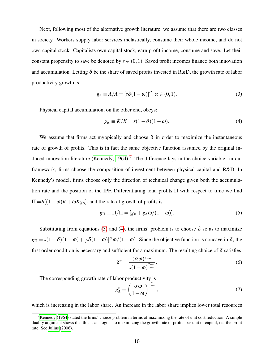Next, following most of the alternative growth literature, we assume that there are two classes in society. Workers supply labor services inelastically, consume their whole income, and do not own capital stock. Capitalists own capital stock, earn profit income, consume and save. Let their constant propensity to save be denoted by  $s \in (0,1)$ . Saved profit incomes finance both innovation and accumulation. Letting  $\delta$  be the share of saved profits invested in R&D, the growth rate of labor productivity growth is:

<span id="page-10-1"></span>
$$
g_A \equiv \dot{A}/A = [s\delta(1-\omega)]^{\alpha}, \alpha \in (0,1).
$$
 (3)

Physical capital accumulation, on the other end, obeys:

<span id="page-10-2"></span>
$$
g_K \equiv \dot{K}/K = s(1-\delta)(1-\omega). \tag{4}
$$

We assume that firms act myopically and choose  $\delta$  in order to maximize the instantaneous rate of growth of profits. This is in fact the same objective function assumed by the original in-duced innovation literature [\(Kennedy, 1964\)](#page-18-2).<sup>[2](#page-10-0)</sup> The difference lays in the choice variable: in our framework, firms choose the composition of investment between physical capital and R&D. In Kennedy's model, firms choose only the direction of technical change given both the accumulation rate and the position of the IPF. Differentiating total profits  $\Pi$  with respect to time we find  $\overline{\Pi} = B[(1 - \omega)\overline{K} + \omega K g_A]$ , and the rate of growth of profits is

$$
g_{\Pi} \equiv \dot{\Pi}/\Pi = [g_K + g_A \omega/(1 - \omega)].
$$
\n(5)

Substituting from equations [\(3\)](#page-10-1) and [\(4\)](#page-10-2), the firms' problem is to choose  $\delta$  so as to maximize  $g_{\Pi} = s(1-\delta)(1-\omega) + [s\delta(1-\omega)]^{\alpha} \omega/(1-\omega)$ . Since the objective function is concave in  $\delta$ , the first order condition is necessary and sufficient for a maximum. The resulting choice of  $\delta$  satisfies

$$
\delta^* = \frac{(\alpha \omega)^{\frac{1}{1-\alpha}}}{s(1-\omega)^{\frac{2-\alpha}{1-\alpha}}}.
$$
\n(6)

The corresponding growth rate of labor productivity is

$$
g_A^* = \left(\frac{\alpha \omega}{1 - \omega}\right)^{\frac{\alpha}{1 - \alpha}},\tag{7}
$$

which is increasing in the labor share. An increase in the labor share implies lower total resources

<span id="page-10-0"></span><sup>&</sup>lt;sup>2</sup>[Kennedy](#page-18-2) [\(1964\)](#page-18-2) stated the firms' choice problem in terms of maximizing the rate of unit cost reduction. A simple duality argument shows that this is analogous to maximizing the growth rate of profits per unit of capital, i.e. the profit rate. See [Julius](#page-17-2) [\(2006\)](#page-17-2).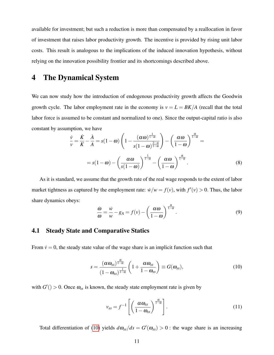available for investment; but such a reduction is more than compensated by a reallocation in favor of investment that raises labor productivity growth. The incentive is provided by rising unit labor costs. This result is analogous to the implications of the induced innovation hypothesis, without relying on the innovation possibility frontier and its shortcomings described above.

## 4 The Dynamical System

We can now study how the introduction of endogenous productivity growth affects the Goodwin growth cycle. The labor employment rate in the economy is  $v = L = BK/A$  (recall that the total labor force is assumed to be constant and normalized to one). Since the output-capital ratio is also constant by assumption, we have

<span id="page-11-2"></span>
$$
\frac{\dot{v}}{v} = \frac{\dot{K}}{K} - \frac{\dot{A}}{A} = s(1 - \omega) \left( 1 - \frac{(\alpha \omega)^{\frac{1}{1 - \alpha}}}{s(1 - \omega)^{\frac{2 - \alpha}{1 - \alpha}}} \right) - \left( \frac{\alpha \omega}{1 - \omega} \right)^{\frac{\alpha}{1 - \alpha}} =
$$
\n
$$
= s(1 - \omega) - \left( \frac{\alpha \omega}{s(1 - \omega)} \right)^{\frac{1}{1 - \alpha}} - \left( \frac{\alpha \omega}{1 - \omega} \right)^{\frac{\alpha}{1 - \alpha}}.
$$
\n(8)

As it is standard, we assume that the growth rate of the real wage responds to the extent of labor market tightness as captured by the employment rate:  $\dot{w}/w = f(v)$ , with  $f'(v) > 0$ . Thus, the labor share dynamics obeys:

<span id="page-11-3"></span>
$$
\frac{\dot{\omega}}{\omega} = \frac{\dot{w}}{w} - g_A = f(v) - \left(\frac{\alpha \omega}{1 - \omega}\right)^{\frac{\alpha}{1 - \alpha}}.
$$
\n(9)

#### 4.1 Steady State and Comparative Statics

From  $\dot{v} = 0$ , the steady state value of the wage share is an implicit function such that

<span id="page-11-0"></span>
$$
s = \frac{(\alpha \omega_{ss})^{\frac{\alpha}{1-\alpha}}}{(1-\omega_{ss})^{\frac{1}{1-\alpha}}} \left(1+\frac{\alpha \omega_{ss}}{1-\omega_{ss}}\right) \equiv G(\omega_{ss}), \qquad (10)
$$

with  $G'( ) > 0$ . Once  $\omega_{ss}$  is known, the steady state employment rate is given by

<span id="page-11-1"></span>
$$
v_{ss} = f^{-1} \left[ \left( \frac{\alpha \omega_{ss}}{1 - \omega_{ss}} \right)^{\frac{\alpha}{1 - \alpha}} \right]. \tag{11}
$$

Total differentiation of [\(10\)](#page-11-0) yields  $d\omega_{ss}/ds = G'(\omega_{ss}) > 0$ : the wage share is an increasing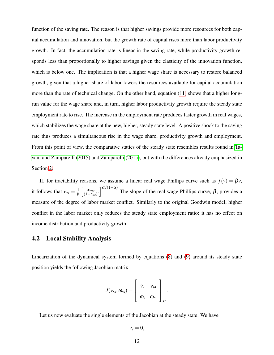function of the saving rate. The reason is that higher savings provide more resources for both capital accumulation and innovation, but the growth rate of capital rises more than labor productivity growth. In fact, the accumulation rate is linear in the saving rate, while productivity growth responds less than proportionally to higher savings given the elasticity of the innovation function, which is below one. The implication is that a higher wage share is necessary to restore balanced growth, given that a higher share of labor lowers the resources available for capital accumulation more than the rate of technical change. On the other hand, equation [\(11\)](#page-11-1) shows that a higher longrun value for the wage share and, in turn, higher labor productivity growth require the steady state employment rate to rise. The increase in the employment rate produces faster growth in real wages, which stabilizes the wage share at the new, higher, steady state level. A positive shock to the saving rate thus produces a simultaneous rise in the wage share, productivity growth and employment. From this point of view, the comparative statics of the steady state resembles results found in [Ta](#page-19-5)[vani and Zamparelli](#page-19-5) [\(2015\)](#page-19-5) and [Zamparelli](#page-19-2) [\(2015\)](#page-19-2), but with the differences already emphasized in Section [2.](#page-7-0)

If, for tractability reasons, we assume a linear real wage Phillips curve such as  $f(v) = \beta v$ , it follows that  $v_{ss} = \frac{1}{\beta}$ β  $\int \alpha \omega_{ss}$  $\left[\frac{\alpha \omega_{ss}}{(1-\omega_{ss})}\right]^{ \alpha/(1-\alpha)}$  The slope of the real wage Phillips curve,  $\beta$ , provides a measure of the degree of labor market conflict. Similarly to the original Goodwin model, higher conflict in the labor market only reduces the steady state employment ratio; it has no effect on income distribution and productivity growth.

#### 4.2 Local Stability Analysis

Linearization of the dynamical system formed by equations [\(8\)](#page-11-2) and [\(9\)](#page-11-3) around its steady state position yields the following Jacobian matrix:

$$
J(\mathbf{\nu}_{ss},\boldsymbol{\omega}_{ss})=\left[\begin{array}{cc} \dot{\mathbf{\nu}}_{\mathbf{\nu}} & \dot{\mathbf{\nu}}_{\boldsymbol{\omega}} \\ \dot{\boldsymbol{\omega}}_{\mathbf{\nu}} & \dot{\boldsymbol{\omega}}_{\boldsymbol{\omega}} \\ \end{array}\right]_{ss}.
$$

Let us now evaluate the single elements of the Jacobian at the steady state. We have

$$
\dot{\nu}_{\nu}=0,
$$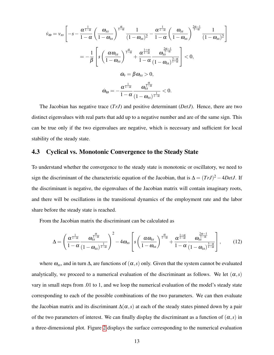$$
\dot{\nu}_{\omega} = \nu_{ss} \left[ -s - \frac{\alpha^{\frac{1}{1-\alpha}}}{1-\alpha} \left( \frac{\omega_{ss}}{1-\omega_{ss}} \right)^{\frac{\alpha}{1-\alpha}} \frac{1}{(1-\omega_{ss})^2} - \frac{\alpha^{\frac{1}{1-\alpha}}}{1-\alpha} \left( \frac{\omega_{ss}}{1-\omega_{ss}} \right)^{\frac{2\alpha-1}{1-\alpha}} \frac{1}{(1-\omega_{ss})^2} \right]
$$

$$
= -\frac{1}{\beta} \left[ s \left( \frac{\alpha \omega_{ss}}{1-\omega_{ss}} \right)^{\frac{\alpha}{1-\alpha}} + \frac{\alpha^{\frac{1+\alpha}{1-\alpha}}}{1-\alpha} \frac{\omega_{ss}^{\frac{2\alpha-1}{1-\alpha}}}{(1-\omega_{ss})^{\frac{3-\alpha}{1-\alpha}}} \right] < 0,
$$

$$
\dot{\omega}_{\nu} = \beta \omega_{ss} > 0,
$$

$$
\dot{\omega}_{\omega} = -\frac{\alpha^{\frac{1}{1-\alpha}}}{1-\alpha} \frac{\omega_{ss}^{\frac{\alpha}{1-\alpha}}}{(1-\omega_{ss})^{\frac{1}{1-\alpha}}} < 0.
$$

The Jacobian has negative trace (*TrJ*) and positive determinant (*DetJ*). Hence, there are two distinct eigenvalues with real parts that add up to a negative number and are of the same sign. This can be true only if the two eigenvalues are negative, which is necessary and sufficient for local stability of the steady state.

#### 4.3 Cyclical vs. Monotonic Convergence to the Steady State

To understand whether the convergence to the steady state is monotonic or oscillatory, we need to sign the discriminant of the characteristic equation of the Jacobian, that is  $\Delta = (TrJ)^2 - 4DetJ$ . If the discriminant is negative, the eigenvalues of the Jacobian matrix will contain imaginary roots, and there will be oscillations in the transitional dynamics of the employment rate and the labor share before the steady state is reached.

From the Jacobian matrix the discriminant can be calculated as

<span id="page-13-0"></span>
$$
\Delta = \left(\frac{\alpha^{\frac{1}{1-\alpha}}}{1-\alpha}\frac{\omega_{ss}^{\frac{\alpha}{1-\alpha}}}{(1-\omega_{ss})^{\frac{1}{1-\alpha}}}\right)^2 - 4\omega_{ss}\left[s\left(\frac{\alpha\omega_{ss}}{1-\omega_{ss}}\right)^{\frac{\alpha}{1-\alpha}} + \frac{\alpha^{\frac{1+\alpha}{1-\alpha}}}{1-\alpha}\frac{\omega_{ss}^{\frac{2\alpha-1}{1-\alpha}}}{(1-\omega_{ss})^{\frac{3-\alpha}{1-\alpha}}}\right],\tag{12}
$$

where  $\omega_{ss}$ , and in turn  $\Delta$ , are functions of  $(\alpha, s)$  only. Given that the system cannot be evaluated analytically, we proceed to a numerical evaluation of the discriminant as follows. We let  $(\alpha, s)$ vary in small steps from .01 to 1, and we loop the numerical evaluation of the model's steady state corresponding to each of the possible combinations of the two parameters. We can then evaluate the Jacobian matrix and its discriminant  $\Delta(\alpha, s)$  at each of the steady states pinned down by a pair of the two parameters of interest. We can finally display the discriminant as a function of  $(\alpha, s)$  in a three-dimensional plot. Figure [2](#page-13-0) displays the surface corresponding to the numerical evaluation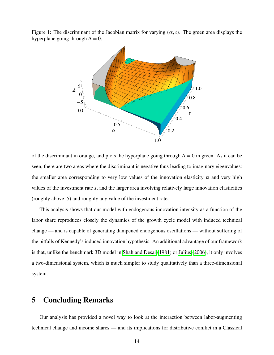Figure 1: The discriminant of the Jacobian matrix for varying  $(\alpha, s)$ . The green area displays the hyperplane going through  $\Delta = 0$ .



of the discriminant in orange, and plots the hyperplane going through  $\Delta = 0$  in green. As it can be seen, there are two areas where the discriminant is negative thus leading to imaginary eigenvalues: the smaller area corresponding to very low values of the innovation elasticity  $\alpha$  and very high values of the investment rate *s*, and the larger area involving relatively large innovation elasticities (roughly above .5) and roughly any value of the investment rate.

This analysis shows that our model with endogenous innovation intensity as a function of the labor share reproduces closely the dynamics of the growth cycle model with induced technical change — and is capable of generating dampened endogenous oscillations — without suffering of the pitfalls of Kennedy's induced innovation hypothesis. An additional advantage of our framework is that, unlike the benchmark 3D model in [Shah and Desai](#page-18-10) [\(1981\)](#page-18-10) or [Julius](#page-17-2) [\(2006\)](#page-17-2), it only involves a two-dimensional system, which is much simpler to study qualitatively than a three-dimensional system.

## <span id="page-14-0"></span>5 Concluding Remarks

Our analysis has provided a novel way to look at the interaction between labor-augmenting technical change and income shares — and its implications for distributive conflict in a Classical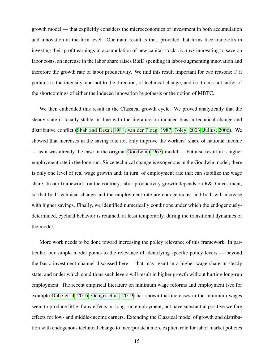growth model — that explicitly considers the microeconomics of investment in both accumulation and innovation at the firm level. Our main result is that, provided that firms face trade-offs in investing their profit earnings in accumulation of new capital stock *vis*  $\dot{a}$  *vis* innovating to save on labor costs, an increase in the labor share raises R&D spending in labor-augmenting innovation and therefore the growth rate of labor productivity*.* We find this result important for two reasons: i) it pertains to the intensity, and not to the direction, of technical change, and ii) it does not suffer of the shortcomings of either the induced innovation hypothesis or the notion of MBTC.

We then embedded this result in the Classical growth cycle. We proved analytically that the steady state is locally stable, in line with the literature on induced bias in technical change and distributive conflict [\(Shah and Desai, 1981;](#page-18-10) [van der Ploeg, 1987;](#page-19-4) [Foley, 2003;](#page-17-1) [Julius, 2006\)](#page-17-2). We showed that increases in the saving rate not only improve the workers' share of national income — as it was already the case in the original [Goodwin](#page-17-0) [\(1967\)](#page-17-0) model — but also result in a higher employment rate in the long run. Since technical change is exogenous in the Goodwin model, there is only one level of real wage growth and, in turn, of employment rate that can stabilize the wage share. In our framework, on the contrary, labor productivity growth depends on R&D investment, so that both technical change and the employment rate are endogeonous, and both will increase with higher savings. Finally, we identified numerically conditions under which the endogenouslydetermined, cyclical behavior is retained, at least temporarily, during the transitional dynamics of the model.

More work needs to be done toward increasing the policy relevance of this framework. In particular, our simple model points to the relevance of identifying specific policy levers — beyond the basic investment channel discussed here —that may result in a higher wage share in steady state, and under which conditions such levers will result in higher growth without hurting long-run employment. The recent empirical literature on minimum wage reforms and employment (see for example [Dube et al, 2016;](#page-16-7) [Gengiz et al., 2019\)](#page-17-10) has shown that increases in the minimum wages seem to produce little if any effects on long-run employment, but have substantial positive welfare effects for low- and middle-income earners. Extending the Classical model of growth and distribution with endogenous technical change to incorporate a more explicit role for labor market policies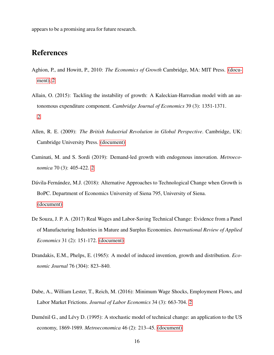appears to be a promising area for future research.

## References

- <span id="page-16-4"></span>Aghion, P., and Howitt, P., 2010: *The Economics of Growth* Cambridge, MA: MIT Press. [\(docu](#page-1-0)[ment\),](#page-1-0) [2](#page-9-0)
- <span id="page-16-6"></span>Allain, O. (2015): Tackling the instability of growth: A Kaleckian-Harrodian model with an autonomous expenditure component. *Cambridge Journal of Economics* 39 (3): 1351-1371. [2](#page-7-0)
- <span id="page-16-1"></span>Allen, R. E. (2009): *The British Industrial Revolution in Global Perspective*. Cambridge, UK: Cambridge University Press. [\(document\)](#page-1-0)
- <span id="page-16-5"></span>Caminati, M. and S. Sordi (2019): Demand-led growth with endogenous innovation. *Metroeconomica* 70 (3): 405-422. [2](#page-7-0)
- <span id="page-16-0"></span>Dávila-Fernández, M.J. (2018): Alternative Approaches to Technological Change when Growth is BoPC. Department of Economics University of Siena 795, University of Siena. [\(document\)](#page-1-0)
- <span id="page-16-2"></span>De Souza, J. P. A. (2017) Real Wages and Labor-Saving Technical Change: Evidence from a Panel of Manufacturing Industries in Mature and Surplus Economies. *International Review of Applied Economics* 31 (2): 151-172. [\(document\)](#page-1-0)
- Drandakis, E.M., Phelps, E. (1965): A model of induced invention, growth and distribution. *Economic Journal* 76 (304): 823–840.
- <span id="page-16-7"></span>Dube, A., William Lester, T., Reich, M. (2016): Minimum Wage Shocks, Employment Flows, and Labor Market Frictions. *Journal of Labor Economics* 34 (3): 663-704. [2](#page-14-0)
- <span id="page-16-3"></span>Duménil G., and Lévy D. (1995): A stochastic model of technical change: an application to the US economy, 1869-1989. *Metroeconomica* 46 (2): 213–45. [\(document\)](#page-1-0)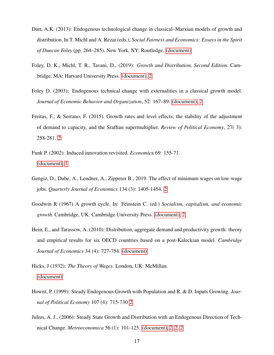- <span id="page-17-4"></span>Dutt, A.K. (2013): Endogenous technological change in classical–Marxian models of growth and distribution. In T. Michl and A. Rezai (eds.), *Social Fairness and Economics: Essays in the Spirit of Duncan Foley* (pp. 264–285). New York, NY: Routledge. [\(document\)](#page-1-0)
- <span id="page-17-5"></span>Foley, D. K., Michl, T. R., Tavani, D., (2019): *Growth and Distribution, Second Edition.* Cambridge, MA: Harvard University Press. [\(document\),](#page-1-0) [2](#page-7-0)
- <span id="page-17-1"></span>Foley D. (2003): Endogenous technical change with externalities in a classical growth model. *Journal of Economic Behavior and Organization*, 52: 167–89. [\(document\),](#page-1-0) [2](#page-14-0)
- <span id="page-17-8"></span>Freitas, F., & Serrano, F. (2015). Growth rates and level effects, the stability of the adjustment of demand to capacity, and the Sraffian supermultiplier. *Review of Political Economy*, 27( 3): 258-281. [2](#page-7-0)
- <span id="page-17-7"></span>Funk P. (2002): Induced innovation revisited. *Economic*a 69: 155-71. [\(document\),](#page-1-0) [1](#page-3-0)
- <span id="page-17-10"></span>Gengiz, D., Dube, A., Lendner, A., Zipperer B., 2019. The effect of minimum wages on low-wage jobs. *Quarterly Journal of Economics* 134 (3): 1405-1454. [2](#page-14-0)
- <span id="page-17-0"></span>Goodwin R (1967) A growth cycle. In: Feinstein C. (ed.) *Socialism, capitalism, and economic growth*. Cambridge, UK: Cambridge University Press. [\(document\),](#page-1-0) [2](#page-14-0)
- <span id="page-17-3"></span>Hein, E., and Tarassow, A. (2010): Distribution, aggregate demand and productivity growth: theory and empirical results for six OECD countries based on a post-Kaleckian model. *Cambridge Journal of Economics* 34 (4): 727-754. [\(document\)](#page-1-0)
- <span id="page-17-6"></span>Hicks, J (1932): *The Theory of Wages*. London, UK: McMillan. [\(document\)](#page-1-0)
- <span id="page-17-9"></span>Howitt, P. (1999): Steady Endogenous Growth with Population and R. & D. Inputs Growing. *Journal of Political Economy* 107 (4): 715-730 [2](#page-9-1)
- <span id="page-17-2"></span>Julius, A. J., (2006): Steady State Growth and Distribution with an Endogenous Direction of Technical Change. *Metroeconomica* 56 (1): 101-125. [\(document\),](#page-1-0) [2,](#page-10-0) [2,](#page-13-0) [2](#page-14-0)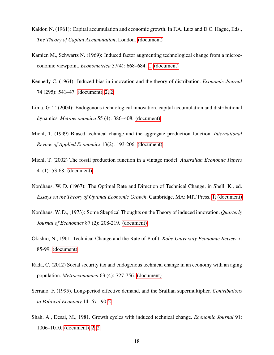- <span id="page-18-5"></span>Kaldor, N. (1961): Capital accumulation and economic growth. In F.A. Lutz and D.C. Hague, Eds., *The Theory of Capital Accumulation*, London. [\(document\)](#page-1-0)
- <span id="page-18-7"></span>Kamien M., Schwartz N. (1969): Induced factor augmenting technological change from a microeconomic viewpoint. *Econometrica* 37(4): 668–684. [1,](#page-3-0) [\(document\)](#page-1-0)
- <span id="page-18-2"></span>Kennedy C. (1964): Induced bias in innovation and the theory of distribution. *Economic Journal* 74 (295): 541–47. [\(document\),](#page-1-0) [2,](#page-10-2) [2](#page-10-0)
- <span id="page-18-0"></span>Lima, G. T. (2004): Endogenous technological innovation, capital accumulation and distributional dynamics. *Metroeconomica* 55 (4): 386–408. [\(document\)](#page-1-0)
- <span id="page-18-3"></span>Michl, T. (1999) Biased technical change and the aggregate production function. *International Review of Applied Economics* 13(2): 193-206. [\(document\)](#page-1-0)
- <span id="page-18-4"></span>Michl, T. (2002) The fossil production function in a vintage model. *Australian Economic Papers* 41(1): 53-68. [\(document\)](#page-1-0)
- <span id="page-18-8"></span>Nordhaus, W. D. (1967): The Optimal Rate and Direction of Technical Change, in Shell, K., ed. *Essays on the Theory of Optimal Economic Growth*. Cambridge, MA: MIT Press. [1,](#page-3-0) [\(document\)](#page-1-0)
- <span id="page-18-9"></span>Nordhaus, W. D., (1973): Some Skeptical Thoughts on the Theory of induced innovation. *Quarterly Journal of Economics* 87 (2): 208-219. [\(document\)](#page-1-0)
- <span id="page-18-6"></span>Okishio, N., 1961. Technical Change and the Rate of Profit. *Kobe University Economic Review* 7: 85-99. [\(document\)](#page-1-0)
- <span id="page-18-1"></span>Rada, C. (2012) Social security tax and endogenous technical change in an economy with an aging population. *Metroeconomica* 63 (4): 727-756. [\(document\)](#page-1-0)
- <span id="page-18-11"></span>Serrano, F. (1995). Long-period effective demand, and the Sraffian supermultiplier. *Contributions to Political Economy* 14: 67– 90 [2](#page-7-0)
- <span id="page-18-10"></span>Shah, A., Desai, M., 1981. Growth cycles with induced technical change. *Economic Journal* 91: 1006–1010. [\(document\),](#page-1-0) [2,](#page-13-0) [2](#page-14-0)